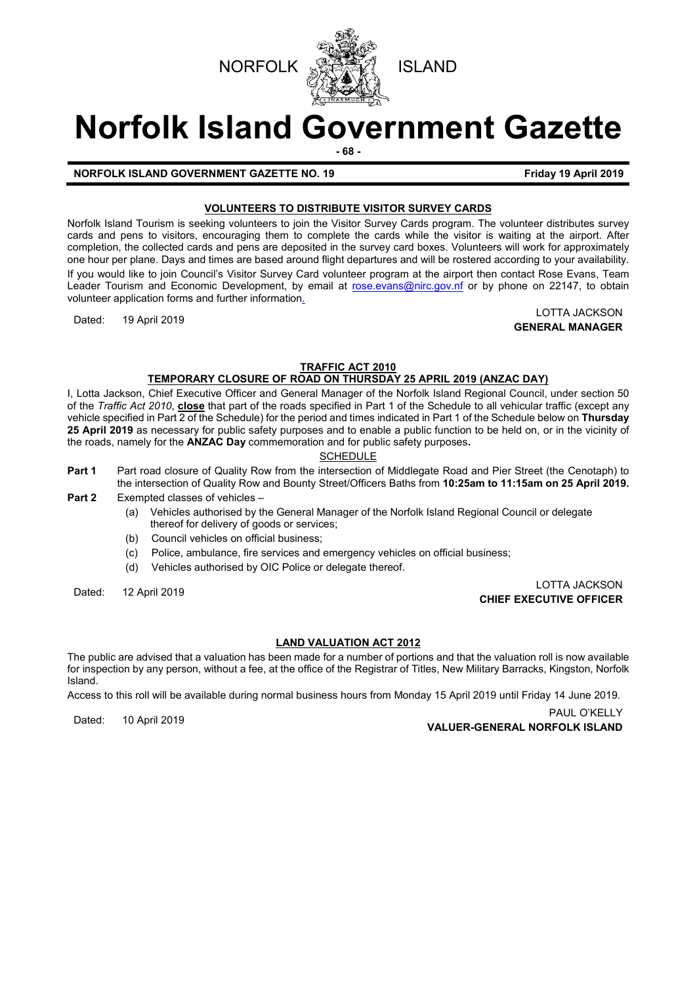



# **Norfolk Island Government Gazette**

**- 68 -**

# **NORFOLK ISLAND GOVERNMENT GAZETTE NO. 19 Friday 19 April 2019**

# **VOLUNTEERS TO DISTRIBUTE VISITOR SURVEY CARDS**

Norfolk Island Tourism is seeking volunteers to join the Visitor Survey Cards program. The volunteer distributes survey cards and pens to visitors, encouraging them to complete the cards while the visitor is waiting at the airport. After completion, the collected cards and pens are deposited in the survey card boxes. Volunteers will work for approximately one hour per plane. Days and times are based around flight departures and will be rostered according to your availability. If you would like to join Council's Visitor Survey Card volunteer program at the airport then contact Rose Evans, Team Leader Tourism and Economic Development, by email at [rose.evans@nirc.gov.nf](mailto:rose.evans@nirc.gov.nf) or by phone on 22147, to obtain volunteer application forms and further information.

Dated: 19 April 2019 LOTTA JACKSON **GENERAL MANAGER**

### **TRAFFIC ACT 2010 TEMPORARY CLOSURE OF ROAD ON THURSDAY 25 APRIL 2019 (ANZAC DAY)**

I, Lotta Jackson, Chief Executive Officer and General Manager of the Norfolk Island Regional Council, under section 50 of the *Traffic Act 2010*, **close** that part of the roads specified in Part 1 of the Schedule to all vehicular traffic (except any vehicle specified in Part 2 of the Schedule) for the period and times indicated in Part 1 of the Schedule below on **Thursday 25 April 2019** as necessary for public safety purposes and to enable a public function to be held on, or in the vicinity of the roads, namely for the **ANZAC Day** commemoration and for public safety purposes**.**

# **SCHEDULE**

- **Part 1** Part road closure of Quality Row from the intersection of Middlegate Road and Pier Street (the Cenotaph) to the intersection of Quality Row and Bounty Street/Officers Baths from **10:25am to 11:15am on 25 April 2019.**
- **Part 2** Exempted classes of vehicles
	- (a) Vehicles authorised by the General Manager of the Norfolk Island Regional Council or delegate thereof for delivery of goods or services;
	- (b) Council vehicles on official business;
	- (c) Police, ambulance, fire services and emergency vehicles on official business;
	- (d) Vehicles authorised by OIC Police or delegate thereof.

Dated: 12 April 2019 LOTTA JACKSON **CHIEF EXECUTIVE OFFICER**

## **LAND VALUATION ACT 2012**

The public are advised that a valuation has been made for a number of portions and that the valuation roll is now available for inspection by any person, without a fee, at the office of the Registrar of Titles, New Military Barracks, Kingston, Norfolk Island.

Access to this roll will be available during normal business hours from Monday 15 April 2019 until Friday 14 June 2019.

PAUL O'KELLY<br>**VALUER-GENERAL NORFOLK ISLAND**